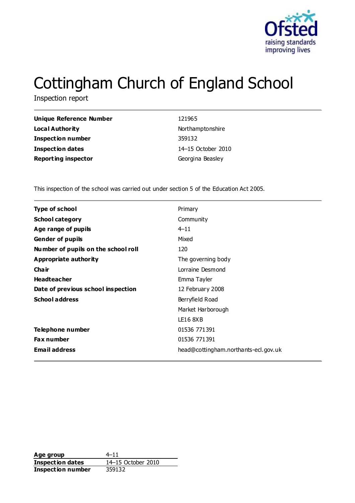

# Cottingham Church of England School

Inspection report

| <b>Unique Reference Number</b> | 121965             |
|--------------------------------|--------------------|
| <b>Local Authority</b>         | Northamptonshire   |
| <b>Inspection number</b>       | 359132             |
| <b>Inspection dates</b>        | 14–15 October 2010 |
| <b>Reporting inspector</b>     | Georgina Beasley   |
|                                |                    |

This inspection of the school was carried out under section 5 of the Education Act 2005.

| <b>Type of school</b>               | Primary                              |
|-------------------------------------|--------------------------------------|
| <b>School category</b>              | Community                            |
| Age range of pupils                 | $4 - 11$                             |
| <b>Gender of pupils</b>             | Mixed                                |
| Number of pupils on the school roll | 120                                  |
| Appropriate authority               | The governing body                   |
| Cha ir                              | Lorraine Desmond                     |
| <b>Headteacher</b>                  | Emma Tayler                          |
| Date of previous school inspection  | 12 February 2008                     |
| <b>School address</b>               | Berryfield Road                      |
|                                     | Market Harborough                    |
|                                     | <b>LE16 8XB</b>                      |
| Telephone number                    | 01536 771391                         |
| <b>Fax number</b>                   | 01536 771391                         |
| <b>Email address</b>                | head@cottingham.northants-ecl.gov.uk |
|                                     |                                      |

**Age group** 4–11 **Inspection dates** 14–15 October 2010 **Inspection number** 359132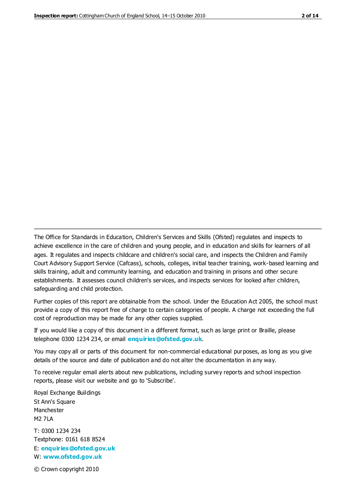The Office for Standards in Education, Children's Services and Skills (Ofsted) regulates and inspects to achieve excellence in the care of children and young people, and in education and skills for learners of all ages. It regulates and inspects childcare and children's social care, and inspects the Children and Family Court Advisory Support Service (Cafcass), schools, colleges, initial teacher training, work-based learning and skills training, adult and community learning, and education and training in prisons and other secure establishments. It assesses council children's services, and inspects services for looked after children, safeguarding and child protection.

Further copies of this report are obtainable from the school. Under the Education Act 2005, the school must provide a copy of this report free of charge to certain categories of people. A charge not exceeding the full cost of reproduction may be made for any other copies supplied.

If you would like a copy of this document in a different format, such as large print or Braille, please telephone 0300 1234 234, or email **[enquiries@ofsted.gov.uk](mailto:enquiries@ofsted.gov.uk)**.

You may copy all or parts of this document for non-commercial educational purposes, as long as you give details of the source and date of publication and do not alter the documentation in any way.

To receive regular email alerts about new publications, including survey reports and school inspection reports, please visit our website and go to 'Subscribe'.

Royal Exchange Buildings St Ann's Square Manchester M2 7LA T: 0300 1234 234 Textphone: 0161 618 8524 E: **[enquiries@ofsted.gov.uk](mailto:enquiries@ofsted.gov.uk)**

W: **[www.ofsted.gov.uk](http://www.ofsted.gov.uk/)**

© Crown copyright 2010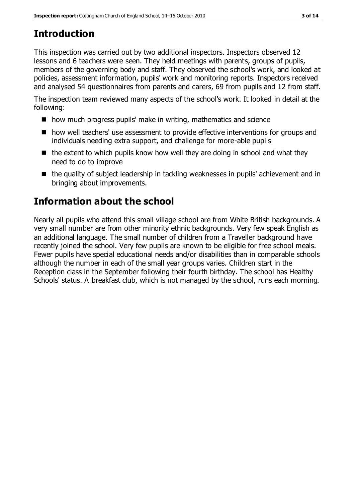# **Introduction**

This inspection was carried out by two additional inspectors. Inspectors observed 12 lessons and 6 teachers were seen. They held meetings with parents, groups of pupils, members of the governing body and staff. They observed the school's work, and looked at policies, assessment information, pupils' work and monitoring reports. Inspectors received and analysed 54 questionnaires from parents and carers, 69 from pupils and 12 from staff.

The inspection team reviewed many aspects of the school's work. It looked in detail at the following:

- how much progress pupils' make in writing, mathematics and science
- how well teachers' use assessment to provide effective interventions for groups and individuals needing extra support, and challenge for more-able pupils
- $\blacksquare$  the extent to which pupils know how well they are doing in school and what they need to do to improve
- the quality of subject leadership in tackling weaknesses in pupils' achievement and in bringing about improvements.

# **Information about the school**

Nearly all pupils who attend this small village school are from White British backgrounds. A very small number are from other minority ethnic backgrounds. Very few speak English as an additional language. The small number of children from a Traveller background have recently joined the school. Very few pupils are known to be eligible for free school meals. Fewer pupils have special educational needs and/or disabilities than in comparable schools although the number in each of the small year groups varies. Children start in the Reception class in the September following their fourth birthday. The school has Healthy Schools' status. A breakfast club, which is not managed by the school, runs each morning.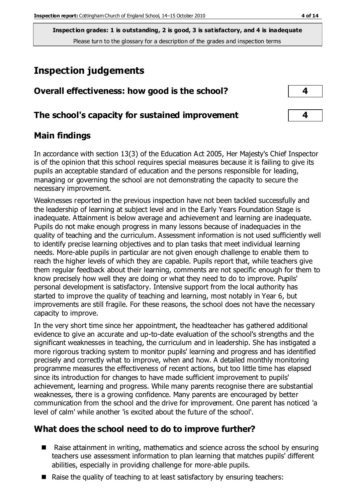**Inspection grades: 1 is outstanding, 2 is good, 3 is satisfactory, and 4 is inadequate** Please turn to the glossary for a description of the grades and inspection terms

**Overall effectiveness: how good is the school? 4**

## **Inspection judgements**

| -- |
|----|
|    |
|    |
|    |
|    |

#### **The school's capacity for sustained improvement 4**

#### **Main findings**

In accordance with section 13(3) of the Education Act 2005, Her Majesty's Chief Inspector is of the opinion that this school requires special measures because it is failing to give its pupils an acceptable standard of education and the persons responsible for leading, managing or governing the school are not demonstrating the capacity to secure the necessary improvement.

Weaknesses reported in the previous inspection have not been tackled successfully and the leadership of learning at subject level and in the Early Years Foundation Stage is inadequate. Attainment is below average and achievement and learning are inadequate. Pupils do not make enough progress in many lessons because of inadequacies in the quality of teaching and the curriculum. Assessment information is not used sufficiently well to identify precise learning objectives and to plan tasks that meet individual learning needs. More-able pupils in particular are not given enough challenge to enable them to reach the higher levels of which they are capable. Pupils report that, while teachers give them regular feedback about their learning, comments are not specific enough for them to know precisely how well they are doing or what they need to do to improve. Pupils' personal development is satisfactory. Intensive support from the local authority has started to improve the quality of teaching and learning, most notably in Year 6, but improvements are still fragile. For these reasons, the school does not have the necessary capacity to improve.

In the very short time since her appointment, the headteacher has gathered additional evidence to give an accurate and up-to-date evaluation of the school's strengths and the significant weaknesses in teaching, the curriculum and in leadership. She has instigated a more rigorous tracking system to monitor pupils' learning and progress and has identified precisely and correctly what to improve, when and how. A detailed monthly monitoring programme measures the effectiveness of recent actions, but too little time has elapsed since its introduction for changes to have made sufficient improvement to pupils' achievement, learning and progress. While many parents recognise there are substantial weaknesses, there is a growing confidence. Many parents are encouraged by better communication from the school and the drive for improvement. One parent has noticed 'a level of calm' while another 'is excited about the future of the school'.

#### **What does the school need to do to improve further?**

- Raise attainment in writing, mathematics and science across the school by ensuring teachers use assessment information to plan learning that matches pupils' different abilities, especially in providing challenge for more-able pupils.
- Raise the quality of teaching to at least satisfactory by ensuring teachers: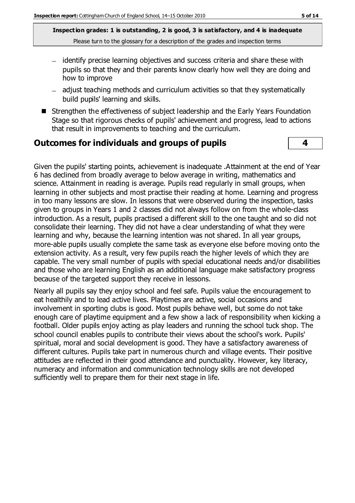**Inspection grades: 1 is outstanding, 2 is good, 3 is satisfactory, and 4 is inadequate** Please turn to the glossary for a description of the grades and inspection terms

- identify precise learning objectives and success criteria and share these with pupils so that they and their parents know clearly how well they are doing and how to improve
- adjust teaching methods and curriculum activities so that they systematically build pupils' learning and skills.
- Strengthen the effectiveness of subject leadership and the Early Years Foundation Stage so that rigorous checks of pupils' achievement and progress, lead to actions that result in improvements to teaching and the curriculum.

#### **Outcomes for individuals and groups of pupils 4**

Given the pupils' starting points, achievement is inadequate .Attainment at the end of Year 6 has declined from broadly average to below average in writing, mathematics and science. Attainment in reading is average. Pupils read regularly in small groups, when learning in other subjects and most practise their reading at home. Learning and progress in too many lessons are slow. In lessons that were observed during the inspection, tasks given to groups in Years 1 and 2 classes did not always follow on from the whole-class introduction. As a result, pupils practised a different skill to the one taught and so did not consolidate their learning. They did not have a clear understanding of what they were learning and why, because the learning intention was not shared. In all year groups, more-able pupils usually complete the same task as everyone else before moving onto the extension activity. As a result, very few pupils reach the higher levels of which they are capable. The very small number of pupils with special educational needs and/or disabilities and those who are learning English as an additional language make satisfactory progress because of the targeted support they receive in lessons.

Nearly all pupils say they enjoy school and feel safe. Pupils value the encouragement to eat healthily and to lead active lives. Playtimes are active, social occasions and involvement in sporting clubs is good. Most pupils behave well, but some do not take enough care of playtime equipment and a few show a lack of responsibility when kicking a football. Older pupils enjoy acting as play leaders and running the school tuck shop. The school council enables pupils to contribute their views about the school's work. Pupils' spiritual, moral and social development is good. They have a satisfactory awareness of different cultures. Pupils take part in numerous church and village events. Their positive attitudes are reflected in their good attendance and punctuality. However, key literacy, numeracy and information and communication technology skills are not developed sufficiently well to prepare them for their next stage in life.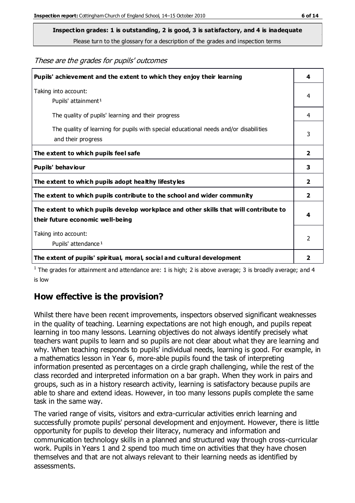Please turn to the glossary for a description of the grades and inspection terms

These are the grades for pupils' outcomes

| Pupils' achievement and the extent to which they enjoy their learning                                                     |                         |
|---------------------------------------------------------------------------------------------------------------------------|-------------------------|
| Taking into account:<br>Pupils' attainment <sup>1</sup>                                                                   |                         |
| The quality of pupils' learning and their progress                                                                        | 4                       |
| The quality of learning for pupils with special educational needs and/or disabilities<br>and their progress               | 3                       |
| The extent to which pupils feel safe                                                                                      | $\overline{\mathbf{2}}$ |
| Pupils' behaviour                                                                                                         | 3                       |
| The extent to which pupils adopt healthy lifestyles                                                                       | 2                       |
| The extent to which pupils contribute to the school and wider community                                                   |                         |
| The extent to which pupils develop workplace and other skills that will contribute to<br>their future economic well-being |                         |
| Taking into account:<br>Pupils' attendance <sup>1</sup>                                                                   |                         |
| The extent of pupils' spiritual, moral, social and cultural development                                                   | 2                       |

<sup>1</sup> The grades for attainment and attendance are: 1 is high; 2 is above average; 3 is broadly average; and 4 is low

## **How effective is the provision?**

Whilst there have been recent improvements, inspectors observed significant weaknesses in the quality of teaching. Learning expectations are not high enough, and pupils repeat learning in too many lessons. Learning objectives do not always identify precisely what teachers want pupils to learn and so pupils are not clear about what they are learning and why. When teaching responds to pupils' individual needs, learning is good. For example, in a mathematics lesson in Year 6, more-able pupils found the task of interpreting information presented as percentages on a circle graph challenging, while the rest of the class recorded and interpreted information on a bar graph. When they work in pairs and groups, such as in a history research activity, learning is satisfactory because pupils are able to share and extend ideas. However, in too many lessons pupils complete the same task in the same way.

The varied range of visits, visitors and extra-curricular activities enrich learning and successfully promote pupils' personal development and enjoyment. However, there is little opportunity for pupils to develop their literacy, numeracy and information and communication technology skills in a planned and structured way through cross-curricular work. Pupils in Years 1 and 2 spend too much time on activities that they have chosen themselves and that are not always relevant to their learning needs as identified by assessments.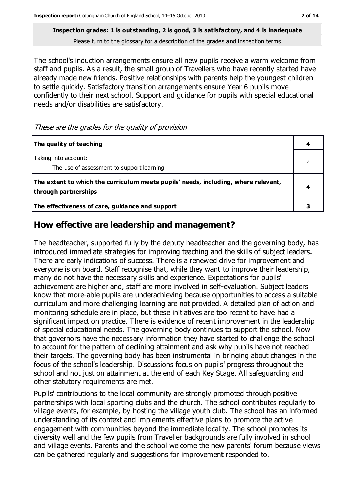Please turn to the glossary for a description of the grades and inspection terms

The school's induction arrangements ensure all new pupils receive a warm welcome from staff and pupils. As a result, the small group of Travellers who have recently started have already made new friends. Positive relationships with parents help the youngest children to settle quickly. Satisfactory transition arrangements ensure Year 6 pupils move confidently to their next school. Support and guidance for pupils with special educational needs and/or disabilities are satisfactory.

These are the grades for the quality of provision

| The quality of teaching                                                                                    |  |
|------------------------------------------------------------------------------------------------------------|--|
| Taking into account:<br>The use of assessment to support learning                                          |  |
| The extent to which the curriculum meets pupils' needs, including, where relevant,<br>through partnerships |  |
| The effectiveness of care, guidance and support                                                            |  |

## **How effective are leadership and management?**

The headteacher, supported fully by the deputy headteacher and the governing body, has introduced immediate strategies for improving teaching and the skills of subject leaders. There are early indications of success. There is a renewed drive for improvement and everyone is on board. Staff recognise that, while they want to improve their leadership, many do not have the necessary skills and experience. Expectations for pupils' achievement are higher and, staff are more involved in self-evaluation. Subject leaders know that more-able pupils are underachieving because opportunities to access a suitable curriculum and more challenging learning are not provided. A detailed plan of action and monitoring schedule are in place, but these initiatives are too recent to have had a significant impact on practice. There is evidence of recent improvement in the leadership of special educational needs. The governing body continues to support the school. Now that governors have the necessary information they have started to challenge the school to account for the pattern of declining attainment and ask why pupils have not reached their targets. The governing body has been instrumental in bringing about changes in the focus of the school's leadership. Discussions focus on pupils' progress throughout the school and not just on attainment at the end of each Key Stage. All safeguarding and other statutory requirements are met.

Pupils' contributions to the local community are strongly promoted through positive partnerships with local sporting clubs and the church. The school contributes regularly to village events, for example, by hosting the village youth club. The school has an informed understanding of its context and implements effective plans to promote the active engagement with communities beyond the immediate locality. The school promotes its diversity well and the few pupils from Traveller backgrounds are fully involved in school and village events. Parents and the school welcome the new parents' forum because views can be gathered regularly and suggestions for improvement responded to.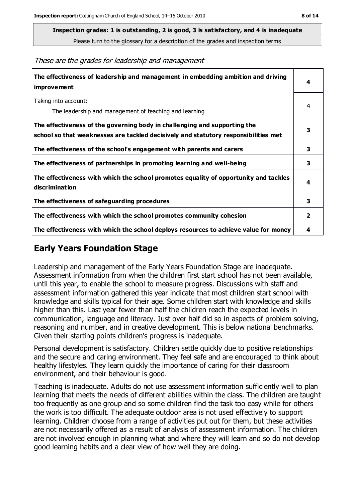Please turn to the glossary for a description of the grades and inspection terms

**The effectiveness of leadership and management in embedding ambition and driving improvement 4** Taking into account: The leadership and management of teaching and learning 4 **The effectiveness of the governing body in challenging and supporting the school so that weaknesses are tackled decisively and statutory responsibilities met 3 The effectiveness of the school's engagement with parents and carers 3 The effectiveness of partnerships in promoting learning and well-being 3 The effectiveness with which the school promotes equality of opportunity and tackles discrimination 4 The effectiveness of safeguarding procedures 3 The effectiveness with which the school promotes community cohesion 2 The effectiveness with which the school deploys resources to achieve value for money 4**

These are the grades for leadership and management

#### **Early Years Foundation Stage**

Leadership and management of the Early Years Foundation Stage are inadequate. Assessment information from when the children first start school has not been available, until this year, to enable the school to measure progress. Discussions with staff and assessment information gathered this year indicate that most children start school with knowledge and skills typical for their age. Some children start with knowledge and skills higher than this. Last year fewer than half the children reach the expected levels in communication, language and literacy. Just over half did so in aspects of problem solving, reasoning and number, and in creative development. This is below national benchmarks. Given their starting points children's progress is inadequate.

Personal development is satisfactory. Children settle quickly due to positive relationships and the secure and caring environment. They feel safe and are encouraged to think about healthy lifestyles. They learn quickly the importance of caring for their classroom environment, and their behaviour is good.

Teaching is inadequate. Adults do not use assessment information sufficiently well to plan learning that meets the needs of different abilities within the class. The children are taught too frequently as one group and so some children find the task too easy while for others the work is too difficult. The adequate outdoor area is not used effectively to support learning. Children choose from a range of activities put out for them, but these activities are not necessarily offered as a result of analysis of assessment information. The children are not involved enough in planning what and where they will learn and so do not develop good learning habits and a clear view of how well they are doing.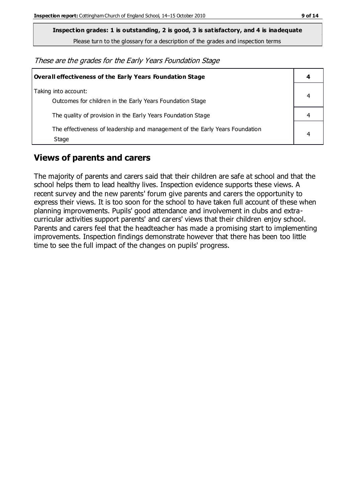Please turn to the glossary for a description of the grades and inspection terms

These are the grades for the Early Years Foundation Stage

| Overall effectiveness of the Early Years Foundation Stage                             |   |  |
|---------------------------------------------------------------------------------------|---|--|
| Taking into account:<br>Outcomes for children in the Early Years Foundation Stage     | 4 |  |
| The quality of provision in the Early Years Foundation Stage                          |   |  |
| The effectiveness of leadership and management of the Early Years Foundation<br>Stage | 4 |  |

#### **Views of parents and carers**

The majority of parents and carers said that their children are safe at school and that the school helps them to lead healthy lives. Inspection evidence supports these views. A recent survey and the new parents' forum give parents and carers the opportunity to express their views. It is too soon for the school to have taken full account of these when planning improvements. Pupils' good attendance and involvement in clubs and extracurricular activities support parents' and carers' views that their children enjoy school. Parents and carers feel that the headteacher has made a promising start to implementing improvements. Inspection findings demonstrate however that there has been too little time to see the full impact of the changes on pupils' progress.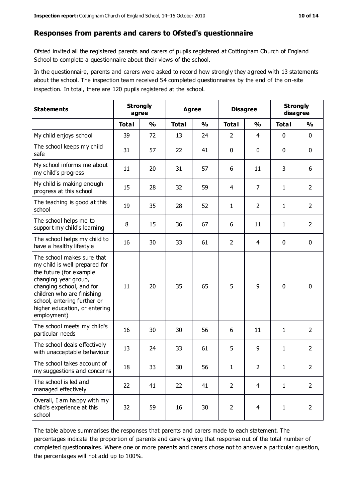#### **Responses from parents and carers to Ofsted's questionnaire**

Ofsted invited all the registered parents and carers of pupils registered at Cottingham Church of England School to complete a questionnaire about their views of the school.

In the questionnaire, parents and carers were asked to record how strongly they agreed with 13 statements about the school. The inspection team received 54 completed questionnaires by the end of the on-site inspection. In total, there are 120 pupils registered at the school.

| <b>Statements</b>                                                                                                                                                                                                                                       | <b>Strongly</b><br>agree |               | <b>Agree</b> |               | <b>Disagree</b> |                | <b>Strongly</b><br>disagree |                |
|---------------------------------------------------------------------------------------------------------------------------------------------------------------------------------------------------------------------------------------------------------|--------------------------|---------------|--------------|---------------|-----------------|----------------|-----------------------------|----------------|
|                                                                                                                                                                                                                                                         | <b>Total</b>             | $\frac{0}{0}$ | <b>Total</b> | $\frac{0}{0}$ | <b>Total</b>    | $\frac{0}{0}$  | <b>Total</b>                | $\frac{0}{0}$  |
| My child enjoys school                                                                                                                                                                                                                                  | 39                       | 72            | 13           | 24            | $\overline{2}$  | $\overline{4}$ | 0                           | $\mathbf 0$    |
| The school keeps my child<br>safe                                                                                                                                                                                                                       | 31                       | 57            | 22           | 41            | 0               | $\mathbf 0$    | 0                           | $\pmb{0}$      |
| My school informs me about<br>my child's progress                                                                                                                                                                                                       | 11                       | 20            | 31           | 57            | 6               | 11             | 3                           | 6              |
| My child is making enough<br>progress at this school                                                                                                                                                                                                    | 15                       | 28            | 32           | 59            | 4               | $\overline{7}$ | 1                           | $\overline{2}$ |
| The teaching is good at this<br>school                                                                                                                                                                                                                  | 19                       | 35            | 28           | 52            | $\mathbf{1}$    | $\overline{2}$ | $\mathbf{1}$                | $\overline{2}$ |
| The school helps me to<br>support my child's learning                                                                                                                                                                                                   | 8                        | 15            | 36           | 67            | 6               | 11             | 1                           | $\overline{2}$ |
| The school helps my child to<br>have a healthy lifestyle                                                                                                                                                                                                | 16                       | 30            | 33           | 61            | $\overline{2}$  | $\overline{4}$ | 0                           | 0              |
| The school makes sure that<br>my child is well prepared for<br>the future (for example<br>changing year group,<br>changing school, and for<br>children who are finishing<br>school, entering further or<br>higher education, or entering<br>employment) | 11                       | 20            | 35           | 65            | 5               | 9              | $\mathbf 0$                 | $\mathbf 0$    |
| The school meets my child's<br>particular needs                                                                                                                                                                                                         | 16                       | 30            | 30           | 56            | 6               | 11             | 1                           | $\overline{2}$ |
| The school deals effectively<br>with unacceptable behaviour                                                                                                                                                                                             | 13                       | 24            | 33           | 61            | 5               | 9              | 1                           | $\overline{2}$ |
| The school takes account of<br>my suggestions and concerns                                                                                                                                                                                              | 18                       | 33            | 30           | 56            | $\mathbf 1$     | $\overline{2}$ | 1                           | 2              |
| The school is led and<br>managed effectively                                                                                                                                                                                                            | 22                       | 41            | 22           | 41            | $\overline{2}$  | $\overline{4}$ | $\mathbf{1}$                | $\overline{2}$ |
| Overall, I am happy with my<br>child's experience at this<br>school                                                                                                                                                                                     | 32                       | 59            | 16           | 30            | $\overline{2}$  | $\overline{4}$ | $\mathbf{1}$                | $\overline{2}$ |

The table above summarises the responses that parents and carers made to each statement. The percentages indicate the proportion of parents and carers giving that response out of the total number of completed questionnaires. Where one or more parents and carers chose not to answer a particular question, the percentages will not add up to 100%.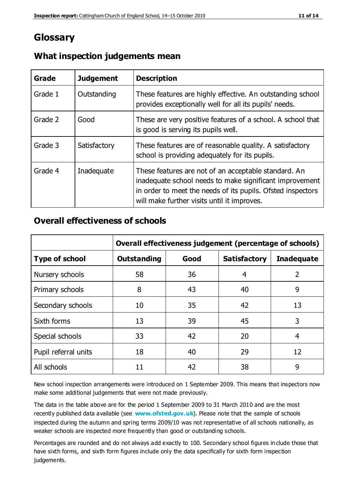## **Glossary**

| Grade   | <b>Judgement</b> | <b>Description</b>                                                                                                                                                                                                            |
|---------|------------------|-------------------------------------------------------------------------------------------------------------------------------------------------------------------------------------------------------------------------------|
| Grade 1 | Outstanding      | These features are highly effective. An outstanding school<br>provides exceptionally well for all its pupils' needs.                                                                                                          |
| Grade 2 | Good             | These are very positive features of a school. A school that<br>is good is serving its pupils well.                                                                                                                            |
| Grade 3 | Satisfactory     | These features are of reasonable quality. A satisfactory<br>school is providing adequately for its pupils.                                                                                                                    |
| Grade 4 | Inadequate       | These features are not of an acceptable standard. An<br>inadequate school needs to make significant improvement<br>in order to meet the needs of its pupils. Ofsted inspectors<br>will make further visits until it improves. |

#### **What inspection judgements mean**

#### **Overall effectiveness of schools**

|                       | Overall effectiveness judgement (percentage of schools) |      |                     |                   |
|-----------------------|---------------------------------------------------------|------|---------------------|-------------------|
| <b>Type of school</b> | <b>Outstanding</b>                                      | Good | <b>Satisfactory</b> | <b>Inadequate</b> |
| Nursery schools       | 58                                                      | 36   | 4                   | 2                 |
| Primary schools       | 8                                                       | 43   | 40                  | 9                 |
| Secondary schools     | 10                                                      | 35   | 42                  | 13                |
| Sixth forms           | 13                                                      | 39   | 45                  | 3                 |
| Special schools       | 33                                                      | 42   | 20                  | 4                 |
| Pupil referral units  | 18                                                      | 40   | 29                  | 12                |
| All schools           | 11                                                      | 42   | 38                  | 9                 |

New school inspection arrangements were introduced on 1 September 2009. This means that inspectors now make some additional judgements that were not made previously.

The data in the table above are for the period 1 September 2009 to 31 March 2010 and are the most recently published data available (see **[www.ofsted.gov.uk](http://www.ofsted.gov.uk/)**). Please note that the sample of schools inspected during the autumn and spring terms 2009/10 was not representative of all schools nationally, as weaker schools are inspected more frequently than good or outstanding schools.

Percentages are rounded and do not always add exactly to 100. Secondary school figures in clude those that have sixth forms, and sixth form figures include only the data specifically for sixth form inspection judgements.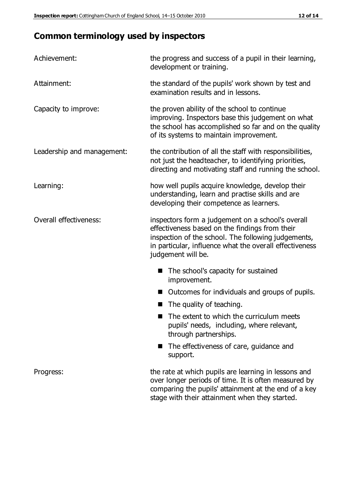## **Common terminology used by inspectors**

| Achievement:               | the progress and success of a pupil in their learning,<br>development or training.                                                                                                                                                          |  |  |
|----------------------------|---------------------------------------------------------------------------------------------------------------------------------------------------------------------------------------------------------------------------------------------|--|--|
| Attainment:                | the standard of the pupils' work shown by test and<br>examination results and in lessons.                                                                                                                                                   |  |  |
| Capacity to improve:       | the proven ability of the school to continue<br>improving. Inspectors base this judgement on what<br>the school has accomplished so far and on the quality<br>of its systems to maintain improvement.                                       |  |  |
| Leadership and management: | the contribution of all the staff with responsibilities,<br>not just the headteacher, to identifying priorities,<br>directing and motivating staff and running the school.                                                                  |  |  |
| Learning:                  | how well pupils acquire knowledge, develop their<br>understanding, learn and practise skills and are<br>developing their competence as learners.                                                                                            |  |  |
| Overall effectiveness:     | inspectors form a judgement on a school's overall<br>effectiveness based on the findings from their<br>inspection of the school. The following judgements,<br>in particular, influence what the overall effectiveness<br>judgement will be. |  |  |
|                            | The school's capacity for sustained<br>improvement.                                                                                                                                                                                         |  |  |
|                            | Outcomes for individuals and groups of pupils.                                                                                                                                                                                              |  |  |
|                            | The quality of teaching.                                                                                                                                                                                                                    |  |  |
|                            | The extent to which the curriculum meets<br>pupils' needs, including, where relevant,<br>through partnerships.                                                                                                                              |  |  |
|                            | The effectiveness of care, guidance and<br>support.                                                                                                                                                                                         |  |  |
| Progress:                  | the rate at which pupils are learning in lessons and<br>over longer periods of time. It is often measured by<br>comparing the pupils' attainment at the end of a key                                                                        |  |  |

stage with their attainment when they started.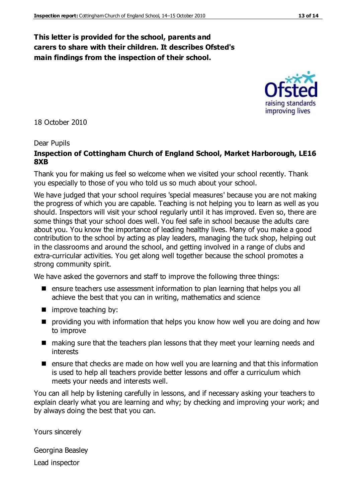#### **This letter is provided for the school, parents and carers to share with their children. It describes Ofsted's main findings from the inspection of their school.**

18 October 2010

#### Dear Pupils

#### **Inspection of Cottingham Church of England School, Market Harborough, LE16 8XB**

Thank you for making us feel so welcome when we visited your school recently. Thank you especially to those of you who told us so much about your school.

We have judged that your school requires 'special measures' because you are not making the progress of which you are capable. Teaching is not helping you to learn as well as you should. Inspectors will visit your school regularly until it has improved. Even so, there are some things that your school does well. You feel safe in school because the adults care about you. You know the importance of leading healthy lives. Many of you make a good contribution to the school by acting as play leaders, managing the tuck shop, helping out in the classrooms and around the school, and getting involved in a range of clubs and extra-curricular activities. You get along well together because the school promotes a strong community spirit.

We have asked the governors and staff to improve the following three things:

- **E** ensure teachers use assessment information to plan learning that helps you all achieve the best that you can in writing, mathematics and science
- improve teaching by:
- **P** providing you with information that helps you know how well you are doing and how to improve
- making sure that the teachers plan lessons that they meet your learning needs and interests
- ensure that checks are made on how well you are learning and that this information is used to help all teachers provide better lessons and offer a curriculum which meets your needs and interests well.

You can all help by listening carefully in lessons, and if necessary asking your teachers to explain clearly what you are learning and why; by checking and improving your work; and by always doing the best that you can.

Yours sincerely

Georgina Beasley Lead inspector